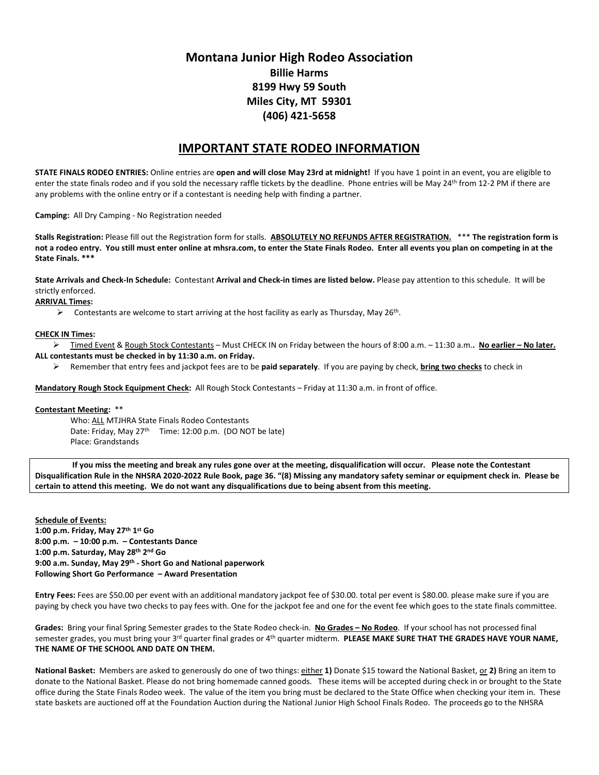# **Montana Junior High Rodeo Association Billie Harms 8199 Hwy 59 South Miles City, MT 59301 (406) 421-5658**

# **IMPORTANT STATE RODEO INFORMATION**

**STATE FINALS RODEO ENTRIES:** Online entries are **open and will close May 23rd at midnight!** If you have 1 point in an event, you are eligible to enter the state finals rodeo and if you sold the necessary raffle tickets by the deadline. Phone entries will be May 24<sup>th</sup> from 12-2 PM if there are any problems with the online entry or if a contestant is needing help with finding a partner.

**Camping:** All Dry Camping - No Registration needed

**Stalls Registration:** Please fill out the Registration form for stalls. **ABSOLUTELY NO REFUNDS AFTER REGISTRATION.** \*\*\* **The registration form is not a rodeo entry. You still must enter online at mhsra.com, to enter the State Finals Rodeo. Enter all events you plan on competing in at the State Finals. \*\*\*** 

**State Arrivals and Check-In Schedule:** Contestant **Arrival and Check-in times are listed below.** Please pay attention to this schedule. It will be strictly enforced.

### **ARRIVAL Times:**

 $\triangleright$  Contestants are welcome to start arriving at the host facility as early as Thursday, May 26<sup>th</sup>.

#### **CHECK IN Times:**

 Timed Event & Rough Stock Contestants – Must CHECK IN on Friday between the hours of 8:00 a.m. – 11:30 a.m.**. No earlier – No later. ALL contestants must be checked in by 11:30 a.m. on Friday.**

Remember that entry fees and jackpot fees are to be **paid separately**. If you are paying by check, **bring two checks** to check in

**Mandatory Rough Stock Equipment Check:** All Rough Stock Contestants – Friday at 11:30 a.m. in front of office.

### **Contestant Meeting:** \*\*

 Who: ALL MTJHRA State Finals Rodeo Contestants Date: Friday, May 27<sup>th</sup> Time: 12:00 p.m. (DO NOT be late) Place: Grandstands

 **If you miss the meeting and break any rules gone over at the meeting, disqualification will occur. Please note the Contestant Disqualification Rule in the NHSRA 2020-2022 Rule Book, page 36. "(8) Missing any mandatory safety seminar or equipment check in. Please be certain to attend this meeting. We do not want any disqualifications due to being absent from this meeting.** 

## **Schedule of Events: 1:00 p.m. Friday, May 27th 1st Go 8:00 p.m. – 10:00 p.m. – Contestants Dance 1:00 p.m. Saturday, May 28th 2nd Go 9:00 a.m. Sunday, May 29th - Short Go and National paperwork Following Short Go Performance – Award Presentation**

**Entry Fees:** Fees are \$50.00 per event with an additional mandatory jackpot fee of \$30.00. total per event is \$80.00. please make sure if you are paying by check you have two checks to pay fees with. One for the jackpot fee and one for the event fee which goes to the state finals committee.

**Grades:** Bring your final Spring Semester grades to the State Rodeo check-in. **No Grades – No Rodeo**. If your school has not processed final semester grades, you must bring your 3rd quarter final grades or 4th quarter midterm. **PLEASE MAKE SURE THAT THE GRADES HAVE YOUR NAME, THE NAME OF THE SCHOOL AND DATE ON THEM.**

**National Basket:** Members are asked to generously do one of two things: either **1)** Donate \$15 toward the National Basket, or **2)** Bring an item to donate to the National Basket. Please do not bring homemade canned goods. These items will be accepted during check in or brought to the State office during the State Finals Rodeo week. The value of the item you bring must be declared to the State Office when checking your item in. These state baskets are auctioned off at the Foundation Auction during the National Junior High School Finals Rodeo. The proceeds go to the NHSRA